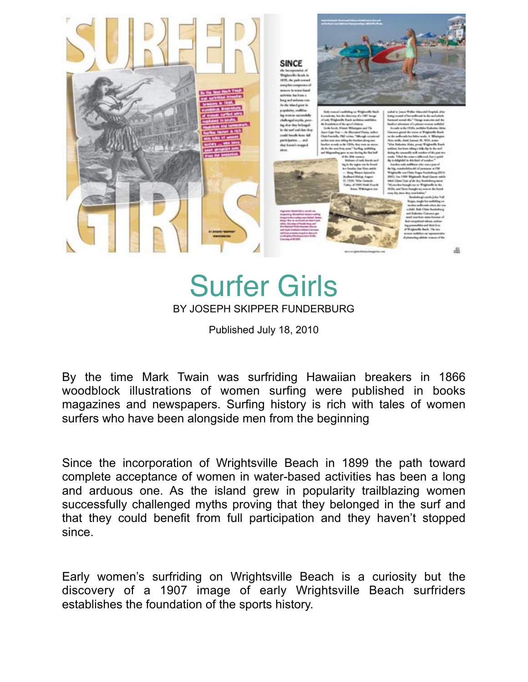

# Surfer Girls BY JOSEPH SKIPPER FUNDERBURG

Published July 18, 2010

By the time Mark Twain was surfriding Hawaiian breakers in 1866 woodblock illustrations of women surfing were published in books magazines and newspapers. Surfing history is rich with tales of women surfers who have been alongside men from the beginning

Since the incorporation of Wrightsville Beach in 1899 the path toward complete acceptance of women in water-based activities has been a long and arduous one. As the island grew in popularity trailblazing women successfully challenged myths proving that they belonged in the surf and that they could benefit from full participation and they haven't stopped since.

Early women's surfriding on Wrightsville Beach is a curiosity but the discovery of a 1907 image of early Wrightsville Beach surfriders establishes the foundation of the sports history.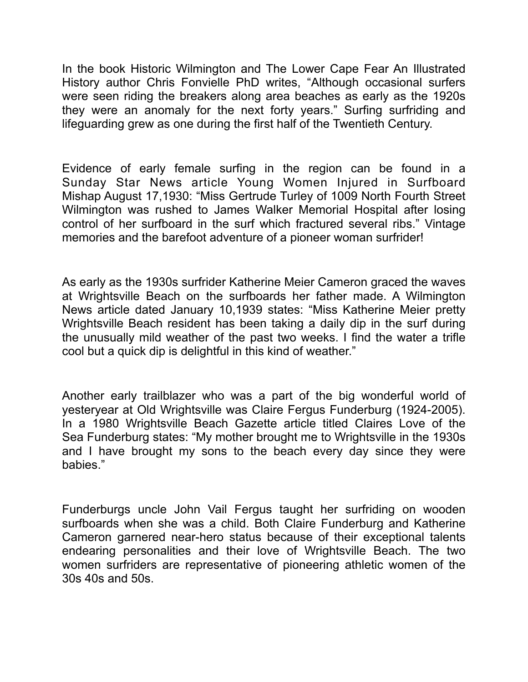In the book Historic Wilmington and The Lower Cape Fear An Illustrated History author Chris Fonvielle PhD writes, "Although occasional surfers were seen riding the breakers along area beaches as early as the 1920s they were an anomaly for the next forty years." Surfing surfriding and lifeguarding grew as one during the first half of the Twentieth Century.

Evidence of early female surfing in the region can be found in a Sunday Star News article Young Women Injured in Surfboard Mishap August 17,1930: "Miss Gertrude Turley of 1009 North Fourth Street Wilmington was rushed to James Walker Memorial Hospital after losing control of her surfboard in the surf which fractured several ribs." Vintage memories and the barefoot adventure of a pioneer woman surfrider!

As early as the 1930s surfrider Katherine Meier Cameron graced the waves at Wrightsville Beach on the surfboards her father made. A Wilmington News article dated January 10,1939 states: "Miss Katherine Meier pretty Wrightsville Beach resident has been taking a daily dip in the surf during the unusually mild weather of the past two weeks. I find the water a trifle cool but a quick dip is delightful in this kind of weather."

Another early trailblazer who was a part of the big wonderful world of yesteryear at Old Wrightsville was Claire Fergus Funderburg (1924-2005). In a 1980 Wrightsville Beach Gazette article titled Claires Love of the Sea Funderburg states: "My mother brought me to Wrightsville in the 1930s and I have brought my sons to the beach every day since they were babies."

Funderburgs uncle John Vail Fergus taught her surfriding on wooden surfboards when she was a child. Both Claire Funderburg and Katherine Cameron garnered near-hero status because of their exceptional talents endearing personalities and their love of Wrightsville Beach. The two women surfriders are representative of pioneering athletic women of the 30s 40s and 50s.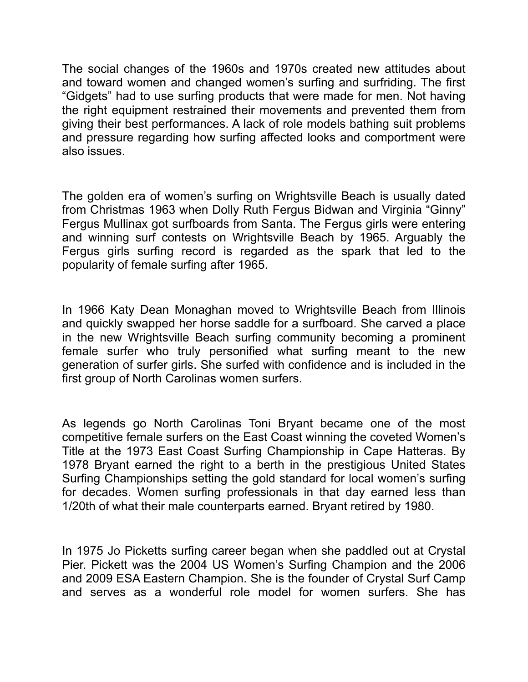The social changes of the 1960s and 1970s created new attitudes about and toward women and changed women's surfing and surfriding. The first "Gidgets" had to use surfing products that were made for men. Not having the right equipment restrained their movements and prevented them from giving their best performances. A lack of role models bathing suit problems and pressure regarding how surfing affected looks and comportment were also issues.

The golden era of women's surfing on Wrightsville Beach is usually dated from Christmas 1963 when Dolly Ruth Fergus Bidwan and Virginia "Ginny" Fergus Mullinax got surfboards from Santa. The Fergus girls were entering and winning surf contests on Wrightsville Beach by 1965. Arguably the Fergus girls surfing record is regarded as the spark that led to the popularity of female surfing after 1965.

In 1966 Katy Dean Monaghan moved to Wrightsville Beach from Illinois and quickly swapped her horse saddle for a surfboard. She carved a place in the new Wrightsville Beach surfing community becoming a prominent female surfer who truly personified what surfing meant to the new generation of surfer girls. She surfed with confidence and is included in the first group of North Carolinas women surfers.

As legends go North Carolinas Toni Bryant became one of the most competitive female surfers on the East Coast winning the coveted Women's Title at the 1973 East Coast Surfing Championship in Cape Hatteras. By 1978 Bryant earned the right to a berth in the prestigious United States Surfing Championships setting the gold standard for local women's surfing for decades. Women surfing professionals in that day earned less than 1/20th of what their male counterparts earned. Bryant retired by 1980.

In 1975 Jo Picketts surfing career began when she paddled out at Crystal Pier. Pickett was the 2004 US Women's Surfing Champion and the 2006 and 2009 ESA Eastern Champion. She is the founder of Crystal Surf Camp and serves as a wonderful role model for women surfers. She has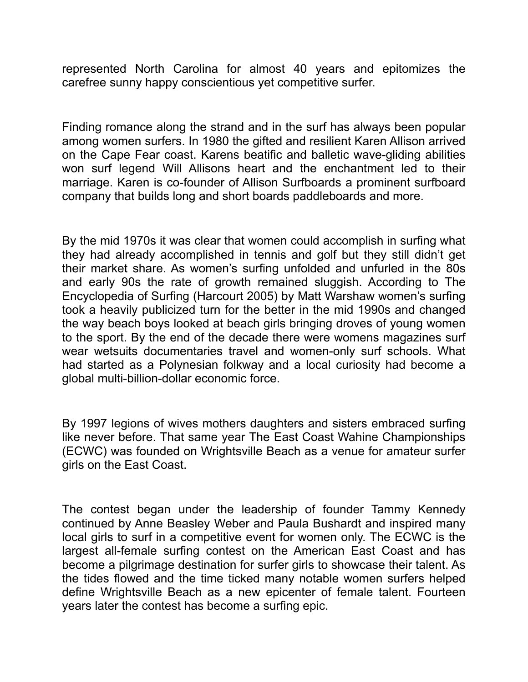represented North Carolina for almost 40 years and epitomizes the carefree sunny happy conscientious yet competitive surfer.

Finding romance along the strand and in the surf has always been popular among women surfers. In 1980 the gifted and resilient Karen Allison arrived on the Cape Fear coast. Karens beatific and balletic wave-gliding abilities won surf legend Will Allisons heart and the enchantment led to their marriage. Karen is co-founder of Allison Surfboards a prominent surfboard company that builds long and short boards paddleboards and more.

By the mid 1970s it was clear that women could accomplish in surfing what they had already accomplished in tennis and golf but they still didn't get their market share. As women's surfing unfolded and unfurled in the 80s and early 90s the rate of growth remained sluggish. According to The Encyclopedia of Surfing (Harcourt 2005) by Matt Warshaw women's surfing took a heavily publicized turn for the better in the mid 1990s and changed the way beach boys looked at beach girls bringing droves of young women to the sport. By the end of the decade there were womens magazines surf wear wetsuits documentaries travel and women-only surf schools. What had started as a Polynesian folkway and a local curiosity had become a global multi-billion-dollar economic force.

By 1997 legions of wives mothers daughters and sisters embraced surfing like never before. That same year The East Coast Wahine Championships (ECWC) was founded on Wrightsville Beach as a venue for amateur surfer girls on the East Coast.

The contest began under the leadership of founder Tammy Kennedy continued by Anne Beasley Weber and Paula Bushardt and inspired many local girls to surf in a competitive event for women only. The ECWC is the largest all-female surfing contest on the American East Coast and has become a pilgrimage destination for surfer girls to showcase their talent. As the tides flowed and the time ticked many notable women surfers helped define Wrightsville Beach as a new epicenter of female talent. Fourteen years later the contest has become a surfing epic.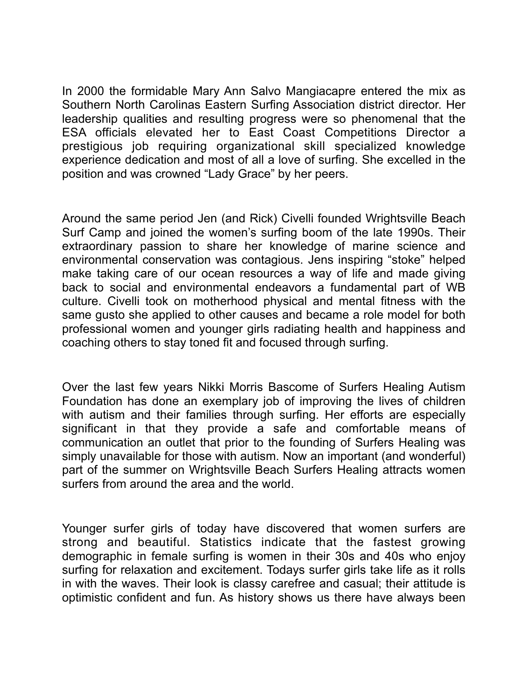In 2000 the formidable Mary Ann Salvo Mangiacapre entered the mix as Southern North Carolinas Eastern Surfing Association district director. Her leadership qualities and resulting progress were so phenomenal that the ESA officials elevated her to East Coast Competitions Director a prestigious job requiring organizational skill specialized knowledge experience dedication and most of all a love of surfing. She excelled in the position and was crowned "Lady Grace" by her peers.

Around the same period Jen (and Rick) Civelli founded Wrightsville Beach Surf Camp and joined the women's surfing boom of the late 1990s. Their extraordinary passion to share her knowledge of marine science and environmental conservation was contagious. Jens inspiring "stoke" helped make taking care of our ocean resources a way of life and made giving back to social and environmental endeavors a fundamental part of WB culture. Civelli took on motherhood physical and mental fitness with the same gusto she applied to other causes and became a role model for both professional women and younger girls radiating health and happiness and coaching others to stay toned fit and focused through surfing.

Over the last few years Nikki Morris Bascome of Surfers Healing Autism Foundation has done an exemplary job of improving the lives of children with autism and their families through surfing. Her efforts are especially significant in that they provide a safe and comfortable means of communication an outlet that prior to the founding of Surfers Healing was simply unavailable for those with autism. Now an important (and wonderful) part of the summer on Wrightsville Beach Surfers Healing attracts women surfers from around the area and the world.

Younger surfer girls of today have discovered that women surfers are strong and beautiful. Statistics indicate that the fastest growing demographic in female surfing is women in their 30s and 40s who enjoy surfing for relaxation and excitement. Todays surfer girls take life as it rolls in with the waves. Their look is classy carefree and casual; their attitude is optimistic confident and fun. As history shows us there have always been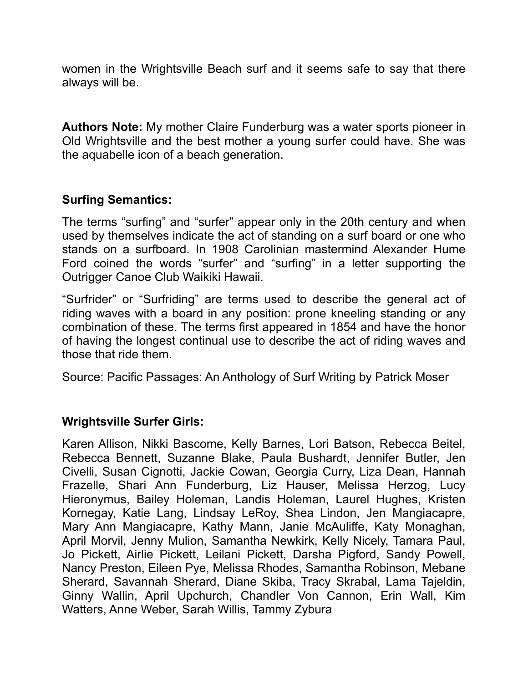women in the Wrightsville Beach surf and it seems safe to say that there always will be.

**Authors Note:** My mother Claire Funderburg was a water sports pioneer in Old Wrightsville and the best mother a young surfer could have. She was the aquabelle icon of a beach generation.

## **Surfing Semantics:**

The terms "surfing" and "surfer" appear only in the 20th century and when used by themselves indicate the act of standing on a surf board or one who stands on a surfboard. In 1908 Carolinian mastermind Alexander Hume Ford coined the words "surfer" and "surfing" in a letter supporting the Outrigger Canoe Club Waikiki Hawaii.

"Surfrider" or "Surfriding" are terms used to describe the general act of riding waves with a board in any position: prone kneeling standing or any combination of these. The terms first appeared in 1854 and have the honor of having the longest continual use to describe the act of riding waves and those that ride them.

Source: Pacific Passages: An Anthology of Surf Writing by Patrick Moser

## **Wrightsville Surfer Girls:**

Karen Allison, Nikki Bascome, Kelly Barnes, Lori Batson, Rebecca Beitel, Rebecca Bennett, Suzanne Blake, Paula Bushardt, Jennifer Butler, Jen Civelli, Susan Cignotti, Jackie Cowan, Georgia Curry, Liza Dean, Hannah Frazelle, Shari Ann Funderburg, Liz Hauser, Melissa Herzog, Lucy Hieronymus, Bailey Holeman, Landis Holeman, Laurel Hughes, Kristen Kornegay, Katie Lang, Lindsay LeRoy, Shea Lindon, Jen Mangiacapre, Mary Ann Mangiacapre, Kathy Mann, Janie McAuliffe, Katy Monaghan, April Morvil, Jenny Mulion, Samantha Newkirk, Kelly Nicely, Tamara Paul, Jo Pickett, Airlie Pickett, Leilani Pickett, Darsha Pigford, Sandy Powell, Nancy Preston, Eileen Pye, Melissa Rhodes, Samantha Robinson, Mebane Sherard, Savannah Sherard, Diane Skiba, Tracy Skrabal, Lama Tajeldin, Ginny Wallin, April Upchurch, Chandler Von Cannon, Erin Wall, Kim Watters, Anne Weber, Sarah Willis, Tammy Zybura